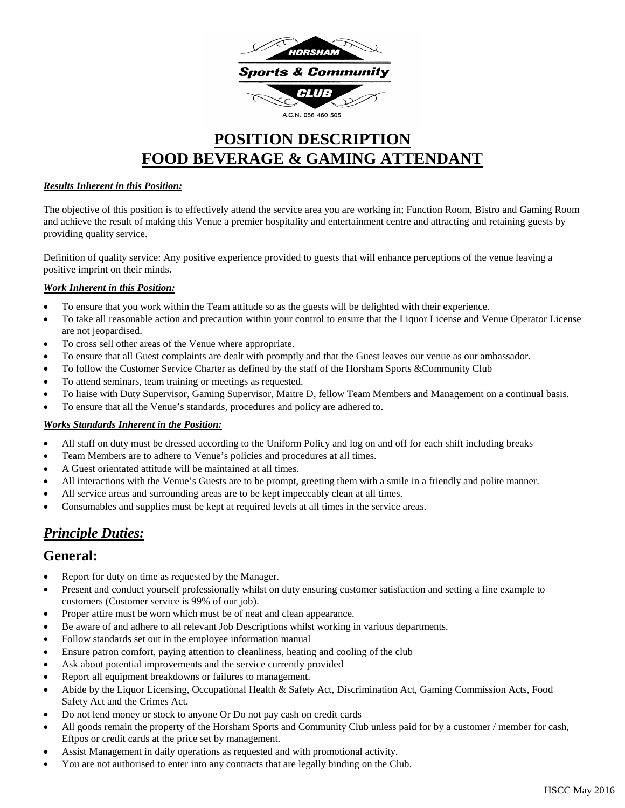

# **POSITION DESCRIPTION FOOD BEVERAGE & GAMING ATTENDANT**

#### *Results Inherent in this Position:*

The objective of this position is to effectively attend the service area you are working in; Function Room, Bistro and Gaming Room and achieve the result of making this Venue a premier hospitality and entertainment centre and attracting and retaining guests by providing quality service.

Definition of quality service: Any positive experience provided to guests that will enhance perceptions of the venue leaving a positive imprint on their minds.

#### *Work Inherent in this Position:*

- To ensure that you work within the Team attitude so as the guests will be delighted with their experience.
- To take all reasonable action and precaution within your control to ensure that the Liquor License and Venue Operator License are not jeopardised.
- To cross sell other areas of the Venue where appropriate.
- To ensure that all Guest complaints are dealt with promptly and that the Guest leaves our venue as our ambassador.
- To follow the Customer Service Charter as defined by the staff of the Horsham Sports & Community Club
- To attend seminars, team training or meetings as requested.
- To liaise with Duty Supervisor, Gaming Supervisor, Maitre D, fellow Team Members and Management on a continual basis.
- To ensure that all the Venue's standards, procedures and policy are adhered to.

#### *Works Standards Inherent in the Position:*

- All staff on duty must be dressed according to the Uniform Policy and log on and off for each shift including breaks
- Team Members are to adhere to Venue's policies and procedures at all times.
- A Guest orientated attitude will be maintained at all times.
- All interactions with the Venue's Guests are to be prompt, greeting them with a smile in a friendly and polite manner.
- All service areas and surrounding areas are to be kept impeccably clean at all times.
- Consumables and supplies must be kept at required levels at all times in the service areas.

# *Principle Duties:*

# **General:**

- Report for duty on time as requested by the Manager.
- Present and conduct yourself professionally whilst on duty ensuring customer satisfaction and setting a fine example to customers (Customer service is 99% of our job).
- Proper attire must be worn which must be of neat and clean appearance.
- Be aware of and adhere to all relevant Job Descriptions whilst working in various departments.
- Follow standards set out in the employee information manual
- Ensure patron comfort, paying attention to cleanliness, heating and cooling of the club
- Ask about potential improvements and the service currently provided
- Report all equipment breakdowns or failures to management.
- Abide by the Liquor Licensing, Occupational Health & Safety Act, Discrimination Act, Gaming Commission Acts, Food Safety Act and the Crimes Act.
- Do not lend money or stock to anyone Or Do not pay cash on credit cards
- All goods remain the property of the Horsham Sports and Community Club unless paid for by a customer / member for cash, Eftpos or credit cards at the price set by management.
- Assist Management in daily operations as requested and with promotional activity.
- You are not authorised to enter into any contracts that are legally binding on the Club.